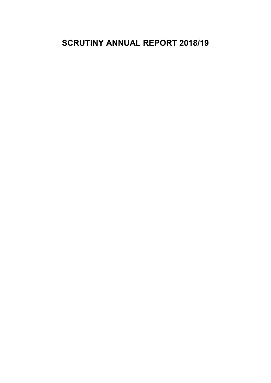# **SCRUTINY ANNUAL REPORT 2018/19**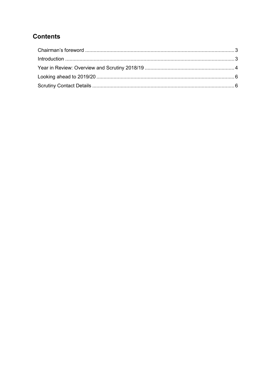## **Contents**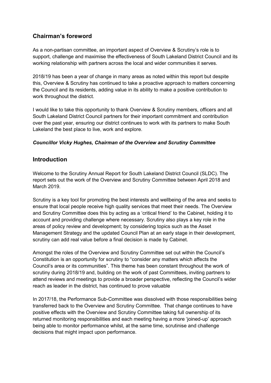## <span id="page-2-0"></span>**Chairman's foreword**

As a non-partisan committee, an important aspect of Overview & Scrutiny's role is to support, challenge and maximise the effectiveness of South Lakeland District Council and its working relationship with partners across the local and wider communities it serves.

2018/19 has been a year of change in many areas as noted within this report but despite this, Overview & Scrutiny has continued to take a proactive approach to matters concerning the Council and its residents, adding value in its ability to make a positive contribution to work throughout the district.

I would like to take this opportunity to thank Overview & Scrutiny members, officers and all South Lakeland District Council partners for their important commitment and contribution over the past year, ensuring our district continues to work with its partners to make South Lakeland the best place to live, work and explore.

#### <span id="page-2-1"></span>*Councillor Vicky Hughes, Chairman of the Overview and Scrutiny Committee*

## **Introduction**

Welcome to the Scrutiny Annual Report for South Lakeland District Council (SLDC). The report sets out the work of the Overview and Scrutiny Committee between April 2018 and March 2019.

Scrutiny is a key tool for promoting the best interests and wellbeing of the area and seeks to ensure that local people receive high quality services that meet their needs. The Overview and Scrutiny Committee does this by acting as a 'critical friend' to the Cabinet, holding it to account and providing challenge where necessary. Scrutiny also plays a key role in the areas of policy review and development; by considering topics such as the Asset Management Strategy and the updated Council Plan at an early stage in their development, scrutiny can add real value before a final decision is made by Cabinet.

Amongst the roles of the Overview and Scrutiny Committee set out within the Council's Constitution is an opportunity for scrutiny to "consider any matters which affects the Council's area or its communities". This theme has been constant throughout the work of scrutiny during 2018/19 and, building on the work of past Committees, inviting partners to attend reviews and meetings to provide a broader perspective, reflecting the Council's wider reach as leader in the district, has continued to prove valuable

In 2017/18, the Performance Sub-Committee was dissolved with those responsibilities being transferred back to the Overview and Scrutiny Committee. That change continues to have positive effects with the Overview and Scrutiny Committee taking full ownership of its returned monitoring responsibilities and each meeting having a more 'joined-up' approach being able to monitor performance whilst, at the same time, scrutinise and challenge decisions that might impact upon performance.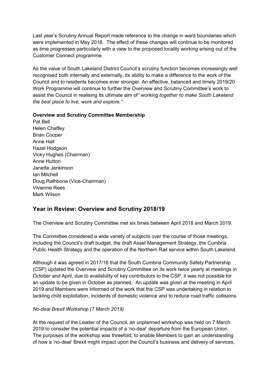Last year's Scrutiny Annual Report made reference to the change in ward boundaries which were implemented in May 2018. The effect of these changes will continue to be monitored as time progresses particularly with a view to the proposed locality working arising out of the Customer Connect programme.

As the value of South Lakeland District Council's scrutiny function becomes increasingly well recognised both internally and externally, its ability to make a difference to the work of the Council and to residents becomes ever stronger. An effective, balanced and timely 2019/20 Work Programme will continue to further the Overview and Scrutiny Committee's work to assist the Council in realising its ultimate aim of*" working together to make South Lakeland the best place to live, work and explore."*

#### **Overview and Scrutiny Committee Membership**

Pat Bell Helen Chaffey Brian Cooper Anne Hall Hazel Hodgson Vicky Hughes (Chairman) Anne Hutton Janette Jenkinson Ian Mitchell Doug Rathbone (Vice-Chairman) Vivienne Rees Mark Wilson

## <span id="page-3-0"></span>**Year in Review: Overview and Scrutiny 2018/19**

The Overview and Scrutiny Committee met six times between April 2018 and March 2019.

The Committee considered a wide variety of subjects over the course of those meetings, including the Council's draft budget, the draft Asset Management Strategy, the Cumbria Public Health Strategy and the operation of the Northern Rail service within South Lakeland.

Although it was agreed in 2017/18 that the South Cumbria Community Safety Partnership (CSP) updated the Overview and Scrutiny Committee on its work twice yearly at meetings in October and April, due to availability of key contributors to the CSP, it was not possible for an update to be given in October as planned. An update was given at the meeting in April 2019 and Members were informed of the work that the CSP was undertaking in relation to tackling child exploitation, incidents of domestic violence and to reduce road traffic collisions.

#### *No-deal Brexit Workshop (7 March 2019)*

At the request of the Leader of the Council, an unplanned workshop was held on 7 March 2019 to consider the potential impacts of a 'no-deal' departure from the European Union. The purposes of the workshop was threefold; to enable Members to gain an understanding of how a 'no-deal' Brexit might impact upon the Council's business and delivery of services,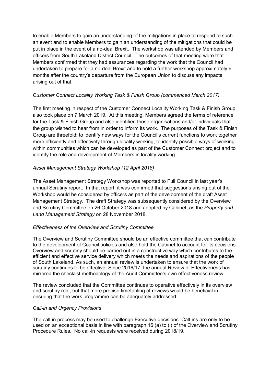to enable Members to gain an understanding of the mitigations in place to respond to such an event and to enable Members to gain an understanding of the mitigations that could be put in place in the event of a no-deal Brexit. The workshop was attended by Members and officers from South Lakeland District Council. The outcomes of that meeting were that Members confirmed that they had assurances regarding the work that the Council had undertaken to prepare for a no-deal Brexit and to hold a further workshop approximately 6 months after the country's departure from the European Union to discuss any impacts arising out of that.

#### *Customer Connect Locality Working Task & Finish Group (commenced March 2017)*

The first meeting in respect of the Customer Connect Locality Working Task & Finish Group also took place on 7 March 2019. At this meeting, Members agreed the terms of reference for the Task & Finish Group and also identified those organisations and/or individuals that the group wished to hear from in order to inform its work. The purposes of the Task & Finish Group are threefold; to identify new ways for the Council's current functions to work together more efficiently and effectively through locality working, to identify possible ways of working within communities which can be developed as part of the Customer Connect project and to identify the role and development of Members in locality working.

#### *Asset Management Strategy Workshop (12 April 2018)*

The Asset Management Strategy Workshop was reported to Full Council in last year's annual Scrutiny report. In that report, it was confirmed that suggestions arising out of the Workshop would be considered by officers as part of the development of the draft Asset Management Strategy. The draft Strategy was subsequently considered by the Overview and Scrutiny Committee on 26 October 2018 and adopted by Cabinet, as the *Property and Land Management Strategy* on 28 November 2018.

#### *Effectiveness of the Overview and Scrutiny Committee*

The Overview and Scrutiny Committee should be an effective committee that can contribute to the development of Council policies and also hold the Cabinet to account for its decisions. Overview and scrutiny should be carried out in a constructive way which contributes to the efficient and effective service delivery which meets the needs and aspirations of the people of South Lakeland. As such, an annual review is undertaken to ensure that the work of scrutiny continues to be effective. Since 2016/17, the annual Review of Effectiveness has mirrored the checklist methodology of the Audit Committee's own effectiveness review.

The review concluded that the Committee continues to operative effectively in its overview and scrutiny role, but that more precise timetabling of reviews would be beneficial in ensuring that the work programme can be adequately addressed.

#### *Call-in and Urgency Provisions*

The call-in process may be used to challenge Executive decisions. Call-ins are only to be used on an exceptional basis in line with paragraph 16 (a) to (i) of the Overview and Scrutiny Procedure Rules. No call-in requests were received during 2018/19.